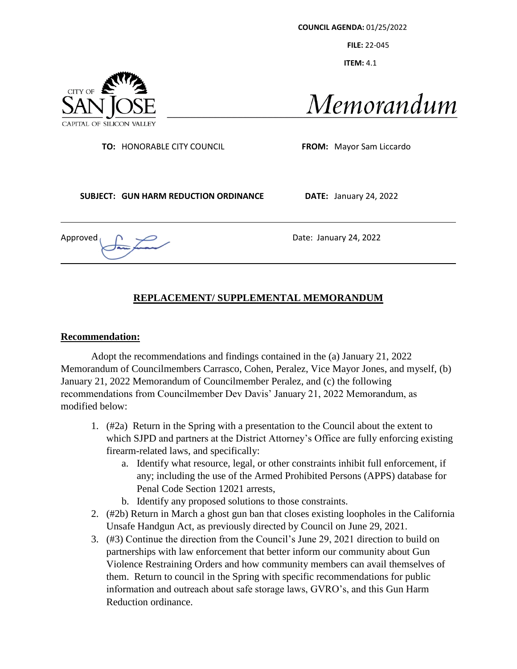**COUNCIL AGENDA:** 01/25/2022

**FILE:** 22-045

 **ITEM:** 4.1



Memorandum

**TO:** HONORABLE CITY COUNCIL **FROM:** Mayor Sam Liccardo

**SUBJECT: GUN HARM REDUCTION ORDINANCE DATE:** January 24, 2022

Approved  $\bigcap$   $\longrightarrow$   $\longrightarrow$  Date: January 24, 2022

# **REPLACEMENT/ SUPPLEMENTAL MEMORANDUM**

### **Recommendation:**

Adopt the recommendations and findings contained in the (a) January 21, 2022 Memorandum of Councilmembers Carrasco, Cohen, Peralez, Vice Mayor Jones, and myself, (b) January 21, 2022 Memorandum of Councilmember Peralez, and (c) the following recommendations from Councilmember Dev Davis' January 21, 2022 Memorandum, as modified below:

- 1. (#2a) Return in the Spring with a presentation to the Council about the extent to which SJPD and partners at the District Attorney's Office are fully enforcing existing firearm-related laws, and specifically:
	- a. Identify what resource, legal, or other constraints inhibit full enforcement, if any; including the use of the Armed Prohibited Persons (APPS) database for Penal Code Section 12021 arrests,
	- b. Identify any proposed solutions to those constraints.
- 2. (#2b) Return in March a ghost gun ban that closes existing loopholes in the California Unsafe Handgun Act, as previously directed by Council on June 29, 2021.
- 3. (#3) Continue the direction from the Council's June 29, 2021 direction to build on partnerships with law enforcement that better inform our community about Gun Violence Restraining Orders and how community members can avail themselves of them. Return to council in the Spring with specific recommendations for public information and outreach about safe storage laws, GVRO's, and this Gun Harm Reduction ordinance.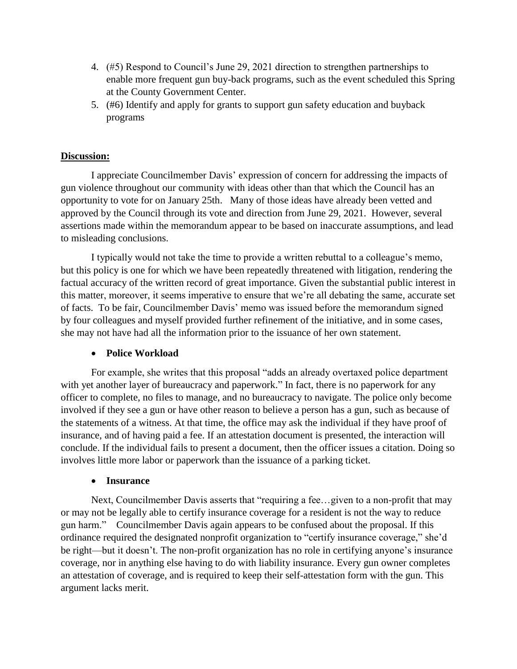- 4. (#5) Respond to Council's June 29, 2021 direction to strengthen partnerships to enable more frequent gun buy-back programs, such as the event scheduled this Spring at the County Government Center.
- 5. (#6) Identify and apply for grants to support gun safety education and buyback programs

## **Discussion:**

I appreciate Councilmember Davis' expression of concern for addressing the impacts of gun violence throughout our community with ideas other than that which the Council has an opportunity to vote for on January 25th. Many of those ideas have already been vetted and approved by the Council through its vote and direction from June 29, 2021. However, several assertions made within the memorandum appear to be based on inaccurate assumptions, and lead to misleading conclusions.

I typically would not take the time to provide a written rebuttal to a colleague's memo, but this policy is one for which we have been repeatedly threatened with litigation, rendering the factual accuracy of the written record of great importance. Given the substantial public interest in this matter, moreover, it seems imperative to ensure that we're all debating the same, accurate set of facts. To be fair, Councilmember Davis' memo was issued before the memorandum signed by four colleagues and myself provided further refinement of the initiative, and in some cases, she may not have had all the information prior to the issuance of her own statement.

### • **Police Workload**

For example, she writes that this proposal "adds an already overtaxed police department with yet another layer of bureaucracy and paperwork." In fact, there is no paperwork for any officer to complete, no files to manage, and no bureaucracy to navigate. The police only become involved if they see a gun or have other reason to believe a person has a gun, such as because of the statements of a witness. At that time, the office may ask the individual if they have proof of insurance, and of having paid a fee. If an attestation document is presented, the interaction will conclude. If the individual fails to present a document, then the officer issues a citation. Doing so involves little more labor or paperwork than the issuance of a parking ticket.

#### • **Insurance**

Next, Councilmember Davis asserts that "requiring a fee…given to a non-profit that may or may not be legally able to certify insurance coverage for a resident is not the way to reduce gun harm." Councilmember Davis again appears to be confused about the proposal. If this ordinance required the designated nonprofit organization to "certify insurance coverage," she'd be right—but it doesn't. The non-profit organization has no role in certifying anyone's insurance coverage, nor in anything else having to do with liability insurance. Every gun owner completes an attestation of coverage, and is required to keep their self-attestation form with the gun. This argument lacks merit.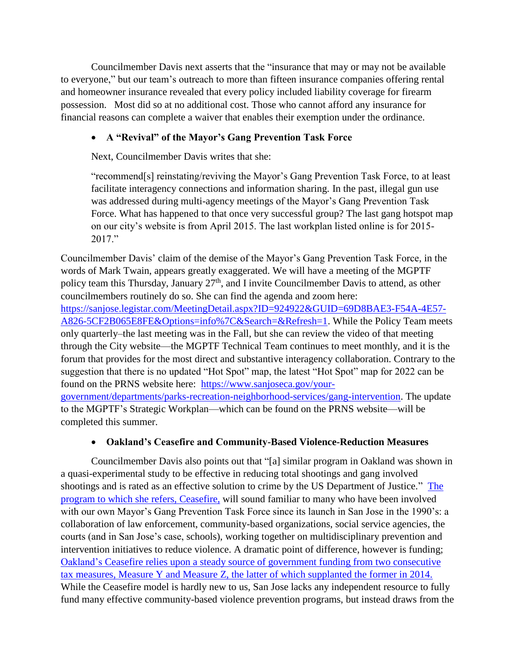Councilmember Davis next asserts that the "insurance that may or may not be available to everyone," but our team's outreach to more than fifteen insurance companies offering rental and homeowner insurance revealed that every policy included liability coverage for firearm possession. Most did so at no additional cost. Those who cannot afford any insurance for financial reasons can complete a waiver that enables their exemption under the ordinance.

# • **A "Revival" of the Mayor's Gang Prevention Task Force**

Next, Councilmember Davis writes that she:

"recommend[s] reinstating/reviving the Mayor's Gang Prevention Task Force, to at least facilitate interagency connections and information sharing. In the past, illegal gun use was addressed during multi-agency meetings of the Mayor's Gang Prevention Task Force. What has happened to that once very successful group? The last gang hotspot map on our city's website is from April 2015. The last workplan listed online is for 2015- 2017."

Councilmember Davis' claim of the demise of the Mayor's Gang Prevention Task Force, in the words of Mark Twain, appears greatly exaggerated. We will have a meeting of the MGPTF policy team this Thursday, January 27<sup>th</sup>, and I invite Councilmember Davis to attend, as other councilmembers routinely do so. She can find the agenda and zoom here: [https://sanjose.legistar.com/MeetingDetail.aspx?ID=924922&GUID=69D8BAE3-F54A-4E57-](https://sanjose.legistar.com/MeetingDetail.aspx?ID=924922&GUID=69D8BAE3-F54A-4E57-A826-5CF2B065E8FE&Options=info%7C&Search=&Refresh=1) [A826-5CF2B065E8FE&Options=info%7C&Search=&Refresh=1.](https://sanjose.legistar.com/MeetingDetail.aspx?ID=924922&GUID=69D8BAE3-F54A-4E57-A826-5CF2B065E8FE&Options=info%7C&Search=&Refresh=1) While the Policy Team meets only quarterly–the last meeting was in the Fall, but she can review the video of that meeting through the City website—the MGPTF Technical Team continues to meet monthly, and it is the forum that provides for the most direct and substantive interagency collaboration. Contrary to the suggestion that there is no updated "Hot Spot" map, the latest "Hot Spot" map for 2022 can be found on the PRNS website here: [https://www.sanjoseca.gov/your-](https://www.sanjoseca.gov/your-government/departments/parks-recreation-neighborhood-services/gang-intervention)

[government/departments/parks-recreation-neighborhood-services/gang-intervention.](https://www.sanjoseca.gov/your-government/departments/parks-recreation-neighborhood-services/gang-intervention) The update to the MGPTF's Strategic Workplan—which can be found on the PRNS website—will be completed this summer.

## • **Oakland's Ceasefire and Community-Based Violence-Reduction Measures**

Councilmember Davis also points out that "[a] similar program in Oakland was shown in a quasi-experimental study to be effective in reducing total shootings and gang involved shootings and is rated as an effective solution to crime by the US Department of Justice." The [program to which she refers, Ceasefire,](https://cao-94612.s3.amazonaws.com/documents/Oakland-Ceasefire-Evaluation-Final-Report-May-2019.pdf) will sound familiar to many who have been involved with our own Mayor's Gang Prevention Task Force since its launch in San Jose in the 1990's: a collaboration of law enforcement, community-based organizations, social service agencies, the courts (and in San Jose's case, schools), working together on multidisciplinary prevention and intervention initiatives to reduce violence. A dramatic point of difference, however is funding; Oakland's Ceasefire [relies upon a steady source of government funding from two consecutive](https://cao-94612.s3.amazonaws.com/documents/Oakland-Ceasefire-Evaluation-Final-Report-May-2019.pdf)  [tax measures, Measure Y and Measure Z, the latter of which supplanted the former in 2014.](https://cao-94612.s3.amazonaws.com/documents/Oakland-Ceasefire-Evaluation-Final-Report-May-2019.pdf) While the Ceasefire model is hardly new to us, San Jose lacks any independent resource to fully fund many effective community-based violence prevention programs, but instead draws from the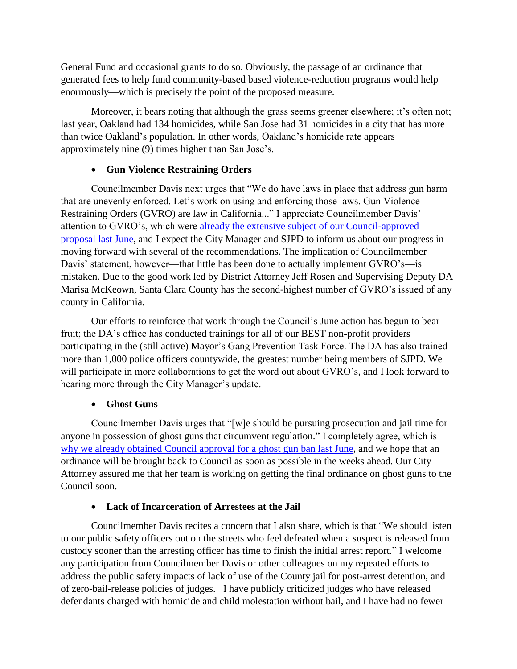General Fund and occasional grants to do so. Obviously, the passage of an ordinance that generated fees to help fund community-based based violence-reduction programs would help enormously—which is precisely the point of the proposed measure.

Moreover, it bears noting that although the grass seems greener elsewhere; it's often not; last year, Oakland had 134 homicides, while San Jose had 31 homicides in a city that has more than twice Oakland's population. In other words, Oakland's homicide rate appears approximately nine (9) times higher than San Jose's.

## • **Gun Violence Restraining Orders**

Councilmember Davis next urges that "We do have laws in place that address gun harm that are unevenly enforced. Let's work on using and enforcing those laws. Gun Violence Restraining Orders (GVRO) are law in California..." I appreciate Councilmember Davis' attention to GVRO's, which were [already the extensive subject of our Council-approved](https://sanjose.legistar.com/View.ashx?M=F&ID=9485840&GUID=1A55D788-DC13-4FAE-A9C3-FC6FEC78E841) [proposal last June,](https://sanjose.legistar.com/View.ashx?M=F&ID=9485840&GUID=1A55D788-DC13-4FAE-A9C3-FC6FEC78E841) and I expect the City Manager and SJPD to inform us about our progress in moving forward with several of the recommendations. The implication of Councilmember Davis' statement, however—that little has been done to actually implement GVRO's—is mistaken. Due to the good work led by District Attorney Jeff Rosen and Supervising Deputy DA Marisa McKeown, Santa Clara County has the second-highest number of GVRO's issued of any county in California.

Our efforts to reinforce that work through the Council's June action has begun to bear fruit; the DA's office has conducted trainings for all of our BEST non-profit providers participating in the (still active) Mayor's Gang Prevention Task Force. The DA has also trained more than 1,000 police officers countywide, the greatest number being members of SJPD. We will participate in more collaborations to get the word out about GVRO's, and I look forward to hearing more through the City Manager's update.

## • **Ghost Guns**

Councilmember Davis urges that "[w]e should be pursuing prosecution and jail time for anyone in possession of ghost guns that circumvent regulation." I completely agree, which is [why we already obtained Council approval for a ghost gun ban last June,](https://sanjose.legistar.com/View.ashx?M=F&ID=9485840&GUID=1A55D788-DC13-4FAE-A9C3-FC6FEC78E841) and we hope that an ordinance will be brought back to Council as soon as possible in the weeks ahead. Our City Attorney assured me that her team is working on getting the final ordinance on ghost guns to the Council soon.

### • **Lack of Incarceration of Arrestees at the Jail**

Councilmember Davis recites a concern that I also share, which is that "We should listen to our public safety officers out on the streets who feel defeated when a suspect is released from custody sooner than the arresting officer has time to finish the initial arrest report." I welcome any participation from Councilmember Davis or other colleagues on my repeated efforts to address the public safety impacts of lack of use of the County jail for post-arrest detention, and of zero-bail-release policies of judges. I have publicly criticized judges who have released defendants charged with homicide and child molestation without bail, and I have had no fewer